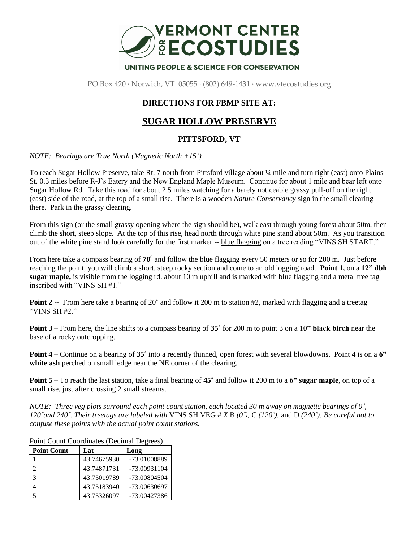

PO Box 420 · Norwich, VT 05055 · (802) 649-1431 · www.vtecostudies.org

## **DIRECTIONS FOR FBMP SITE AT:**

## **SUGAR HOLLOW PRESERVE**

## **PITTSFORD, VT**

*NOTE: Bearings are True North (Magnetic North +15˚)*

To reach Sugar Hollow Preserve, take Rt. 7 north from Pittsford village about ¼ mile and turn right (east) onto Plains St. 0.3 miles before R-J's Eatery and the New England Maple Museum. Continue for about 1 mile and bear left onto Sugar Hollow Rd. Take this road for about 2.5 miles watching for a barely noticeable grassy pull-off on the right (east) side of the road, at the top of a small rise. There is a wooden *Nature Conservancy* sign in the small clearing there. Park in the grassy clearing.

From this sign (or the small grassy opening where the sign should be), walk east through young forest about 50m, then climb the short, steep slope. At the top of this rise, head north through white pine stand about 50m. As you transition out of the white pine stand look carefully for the first marker -- blue flagging on a tree reading "VINS SH START."

From here take a compass bearing of 70<sup>°</sup> and follow the blue flagging every 50 meters or so for 200 m. Just before reaching the point, you will climb a short, steep rocky section and come to an old logging road. **Point 1,** on a **12" dbh sugar maple,** is visible from the logging rd. about 10 m uphill and is marked with blue flagging and a metal tree tag inscribed with "VINS SH #1."

**Point 2** -- From here take a bearing of 20° and follow it 200 m to station #2, marked with flagging and a treetag "VINS SH #2"

**Point 3** – From here, the line shifts to a compass bearing of **35˚** for 200 m to point 3 on a **10" black birch** near the base of a rocky outcropping.

**Point 4** – Continue on a bearing of **35˚** into a recently thinned, open forest with several blowdowns. Point 4 is on a **6" white ash** perched on small ledge near the NE corner of the clearing.

**Point 5** – To reach the last station, take a final bearing of **45˚** and follow it 200 m to a **6" sugar maple**, on top of a small rise, just after crossing 2 small streams.

*NOTE: Three veg plots surround each point count station, each located 30 m away on magnetic bearings of 0˚, 120˚and 240˚. Their treetags are labeled with* VINS SH VEG # *X* B *(0˚),* C *(120˚),* and D *(240˚). Be careful not to confuse these points with the actual point count stations.*

| <b>Point Count</b> | Lat         | Long         |
|--------------------|-------------|--------------|
|                    | 43.74675930 | -73.01008889 |
|                    | 43.74871731 | -73.00931104 |
| 3                  | 43.75019789 | -73.00804504 |
|                    | 43.75183940 | -73.00630697 |
|                    | 43.75326097 | -73.00427386 |

Point Count Coordinates (Decimal Degrees)